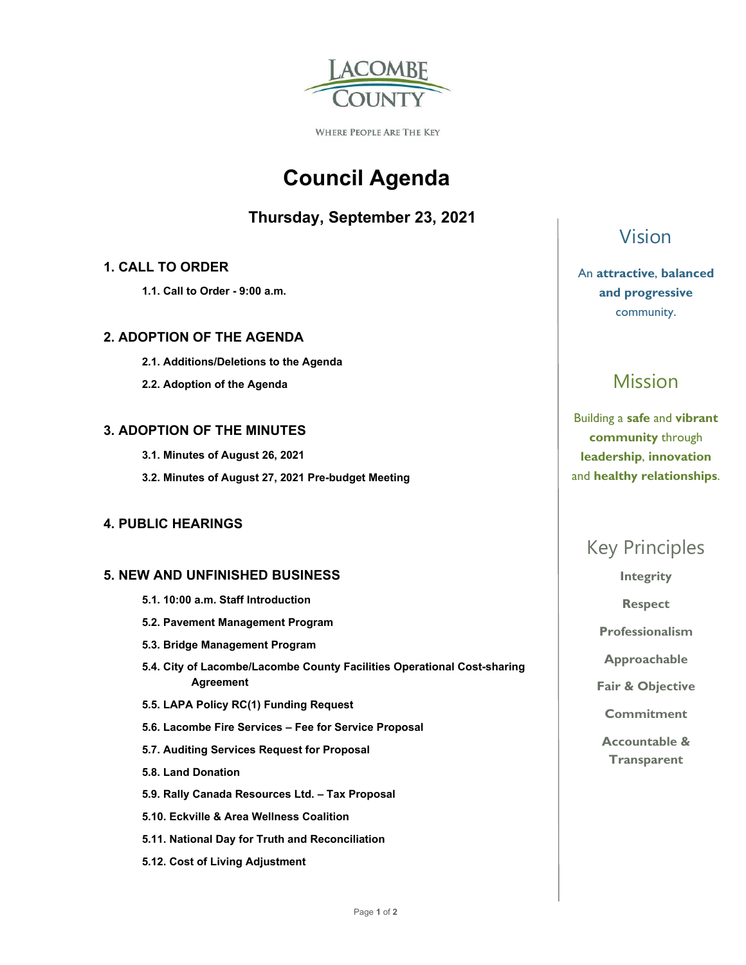

WHERE PEOPLE ARE THE KEY

# **Council Agenda**

### **Thursday, September 23, 2021**

#### **1. CALL TO ORDER**

 **1.1. Call to Order - 9:00 a.m.** 

#### **2. ADOPTION OF THE AGENDA**

- **2.1. Additions/Deletions to the Agenda**
- **2.2. Adoption of the Agenda**

#### **3. ADOPTION OF THE MINUTES**

- **3.1. Minutes of August 26, 2021**
- **3.2. Minutes of August 27, 2021 Pre-budget Meeting**

#### **4. PUBLIC HEARINGS**

#### **5. NEW AND UNFINISHED BUSINESS**

- **5.1. 10:00 a.m. Staff Introduction**
- **5.2. Pavement Management Program**
- **5.3. Bridge Management Program**
- **5.4. City of Lacombe/Lacombe County Facilities Operational Cost-sharing Agreement**
- **5.5. LAPA Policy RC(1) Funding Request**
- **5.6. Lacombe Fire Services Fee for Service Proposal**
- **5.7. Auditing Services Request for Proposal**
- **5.8. Land Donation**
- **5.9. Rally Canada Resources Ltd. Tax Proposal**
- **5.10. Eckville & Area Wellness Coalition**
- **5.11. National Day for Truth and Reconciliation**
- **5.12. Cost of Living Adjustment**

### Vision

An **attractive**, **balanced and progressive**  community.

## Mission

Building a **safe** and **vibrant community** through **leadership**, **innovation**  and **healthy relationships**.

### Key Principles

**Integrity** 

**Respect** 

**Professionalism** 

**Approachable** 

**Fair & Objective** 

**Commitment** 

**Accountable & Transparent**